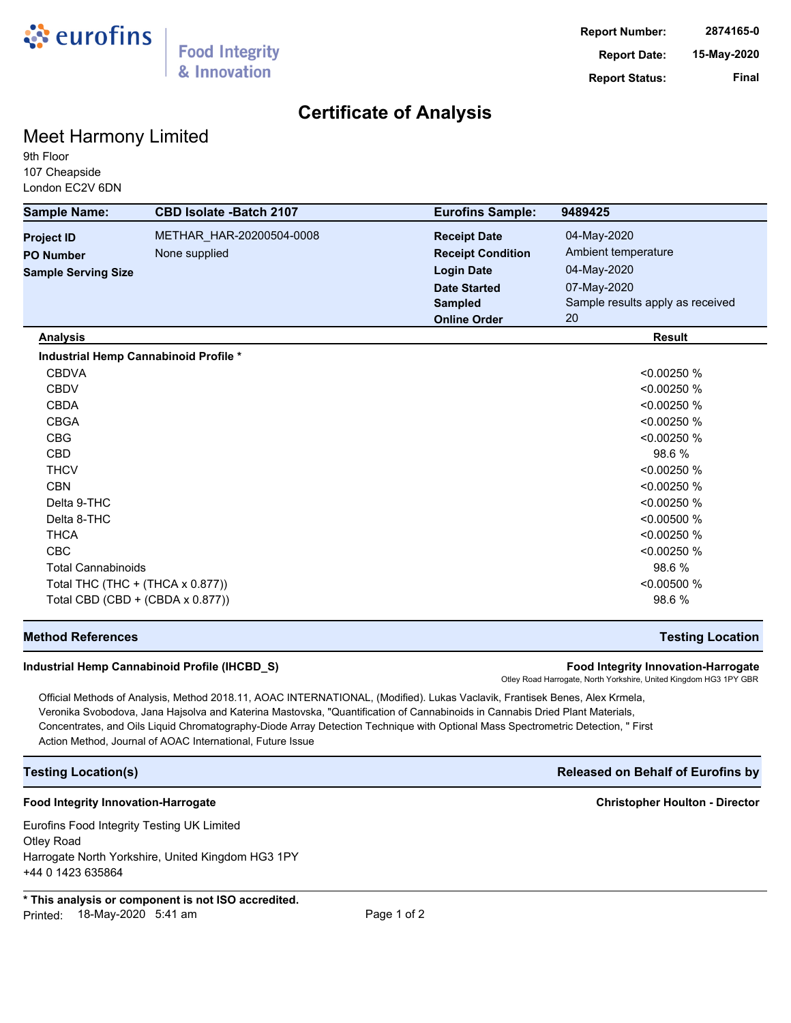

# **Certificate of Analysis**

# Meet Harmony Limited

9th Floor 107 Cheapside London EC2V 6DN

| <b>Sample Name:</b>              | <b>CBD Isolate -Batch 2107</b>        | <b>Eurofins Sample:</b>  | 9489425                          |
|----------------------------------|---------------------------------------|--------------------------|----------------------------------|
| <b>Project ID</b>                | METHAR_HAR-20200504-0008              | <b>Receipt Date</b>      | 04-May-2020                      |
| <b>PO Number</b>                 | None supplied                         | <b>Receipt Condition</b> | Ambient temperature              |
| <b>Sample Serving Size</b>       |                                       | <b>Login Date</b>        | 04-May-2020                      |
|                                  |                                       | <b>Date Started</b>      | 07-May-2020                      |
|                                  |                                       | <b>Sampled</b>           | Sample results apply as received |
|                                  |                                       | <b>Online Order</b>      | 20                               |
| <b>Analysis</b>                  |                                       |                          | <b>Result</b>                    |
|                                  | Industrial Hemp Cannabinoid Profile * |                          |                                  |
| <b>CBDVA</b>                     |                                       |                          | < 0.00250 %                      |
| <b>CBDV</b>                      |                                       |                          | < 0.00250 %                      |
| <b>CBDA</b>                      |                                       |                          | < 0.00250 %                      |
| <b>CBGA</b>                      |                                       |                          | < 0.00250 %                      |
| <b>CBG</b>                       |                                       |                          | < 0.00250 %                      |
| <b>CBD</b>                       |                                       |                          | 98.6%                            |
| <b>THCV</b>                      |                                       |                          | < 0.00250 %                      |
| <b>CBN</b>                       |                                       |                          | < 0.00250 %                      |
| Delta 9-THC                      |                                       |                          | < 0.00250 %                      |
| Delta 8-THC                      |                                       |                          | < 0.00500 %                      |
| <b>THCA</b>                      |                                       |                          | < 0.00250 %                      |
| CBC                              |                                       |                          | < 0.00250 %                      |
| <b>Total Cannabinoids</b>        |                                       |                          | 98.6 %                           |
| Total THC (THC + (THCA x 0.877)) |                                       |                          | <0.00500 %                       |
|                                  | Total CBD (CBD + (CBDA x 0.877))      |                          | 98.6 %                           |

## **Method References Testing Location**

### **Industrial Hemp Cannabinoid Profile (IHCBD\_S) Food Integrity Innovation-Harrogate**

Otley Road Harrogate, North Yorkshire, United Kingdom HG3 1PY GBR

Official Methods of Analysis, Method 2018.11, AOAC INTERNATIONAL, (Modified). Lukas Vaclavik, Frantisek Benes, Alex Krmela, Veronika Svobodova, Jana Hajsolva and Katerina Mastovska, "Quantification of Cannabinoids in Cannabis Dried Plant Materials, Concentrates, and Oils Liquid Chromatography-Diode Array Detection Technique with Optional Mass Spectrometric Detection, " First Action Method, Journal of AOAC International, Future Issue

## **Food Integrity Innovation-Harrogate Christopher Houlton - Director**

Eurofins Food Integrity Testing UK Limited Otley Road Harrogate North Yorkshire, United Kingdom HG3 1PY +44 0 1423 635864

**\* This analysis or component is not ISO accredited.** Printed: 18-May-2020 5:41 am example and the Page 1 of 2

## **Testing Location(s) Released on Behalf of Eurofins by**